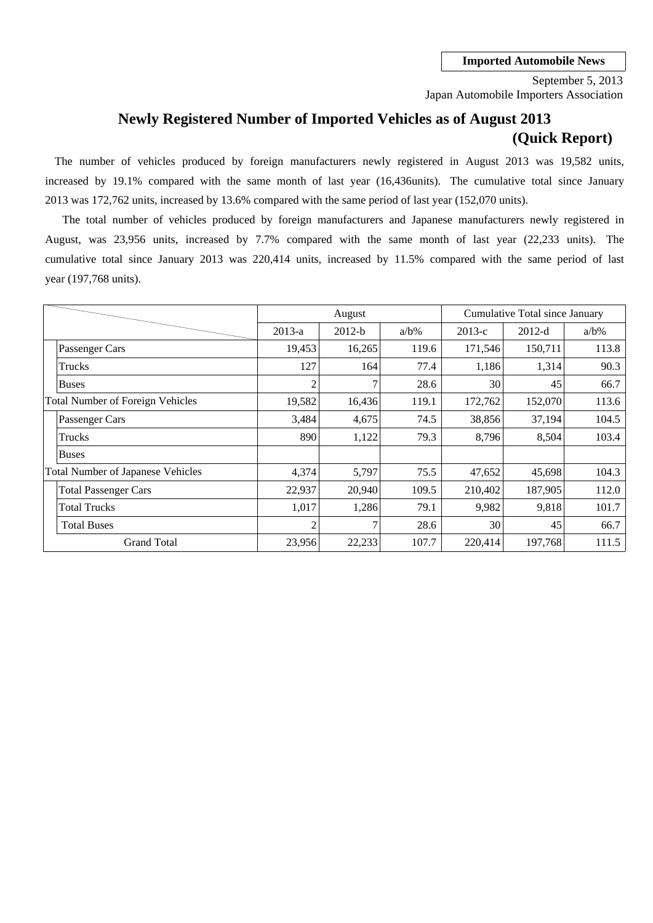Japan Automobile Importers Association September 5, 2013

# **Newly Registered Number of Imported Vehicles as of August 2013 (Quick Report)**

2013 was 172,762 units, increased by 13.6% compared with the same period of last year (152,070 units). The number of vehicles produced by foreign manufacturers newly registered in August 2013 was 19,582 units, increased by 19.1% compared with the same month of last year (16,436units). The cumulative total since January

cumulative total since January 2013 was 220,414 units, increased by 11.5% compared with the same period of last August, was 23,956 units, increased by 7.7% compared with the same month of last year (22,233 units). The year (197,768 units). The total number of vehicles produced by foreign manufacturers and Japanese manufacturers newly registered in

|                                          |                | August   |         |          | Cumulative Total since January |         |
|------------------------------------------|----------------|----------|---------|----------|--------------------------------|---------|
|                                          | $2013-a$       | $2012-b$ | $a/b\%$ | $2013-c$ | $2012-d$                       | $a/b\%$ |
| Passenger Cars                           | 19,453         | 16,265   | 119.6   | 171,546  | 150,711                        | 113.8   |
| Trucks                                   | 127            | 164      | 77.4    | 1,186    | 1,314                          | 90.3    |
| <b>Buses</b>                             | 2              | 7        | 28.6    | 30       | 45                             | 66.7    |
| <b>Total Number of Foreign Vehicles</b>  | 19,582         | 16,436   | 119.1   | 172,762  | 152,070                        | 113.6   |
| Passenger Cars                           | 3,484          | 4,675    | 74.5    | 38,856   | 37,194                         | 104.5   |
| Trucks                                   | 890            | 1,122    | 79.3    | 8,796    | 8,504                          | 103.4   |
| <b>Buses</b>                             |                |          |         |          |                                |         |
| <b>Total Number of Japanese Vehicles</b> | 4,374          | 5,797    | 75.5    | 47,652   | 45,698                         | 104.3   |
| <b>Total Passenger Cars</b>              | 22,937         | 20,940   | 109.5   | 210,402  | 187,905                        | 112.0   |
| <b>Total Trucks</b>                      | 1,017          | 1,286    | 79.1    | 9,982    | 9,818                          | 101.7   |
| <b>Total Buses</b>                       | $\overline{2}$ | 7        | 28.6    | 30       | 45                             | 66.7    |
| <b>Grand Total</b>                       | 23,956         | 22,233   | 107.7   | 220,414  | 197,768                        | 111.5   |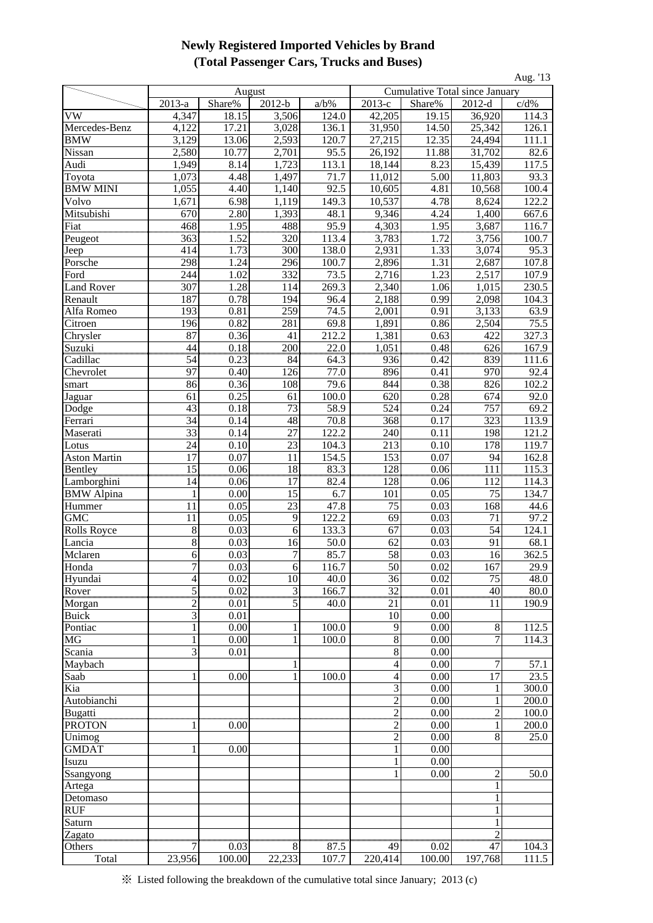## **Newly Registered Imported Vehicles by Brand (Total Passenger Cars, Trucks and Buses)**

|                       |                 |                    |                |                   |                 |                                |                    | Aug. '13             |
|-----------------------|-----------------|--------------------|----------------|-------------------|-----------------|--------------------------------|--------------------|----------------------|
|                       |                 | August             |                |                   |                 | Cumulative Total since January |                    |                      |
|                       | 2013-a          | Share%             | $2012-b$       | $a/b\%$           | $2013-c$        | Share%                         | $2012-d$           | c/d%                 |
| VW                    | 4,347           | 18.15              | 3,506          | 124.0             | 42,205          | 19.15                          | 36,920             | 114.3                |
| Mercedes-Benz         | 4,122           | 17.21              | 3,028          | 136.1             | 31,950          | 14.50                          | 25,342             | 126.1                |
| <b>BMW</b>            | 3,129           | $\overline{13.06}$ | 2,593          | 120.7             | 27,215          | 12.35                          | 24,494             | 111.1                |
| Nissan                | 2,580           | 10.77              | 2,701          | 95.5              | 26,192          | 11.88                          | 31,702             | 82.6                 |
| Audi                  | 1,949           | 8.14               | 1,723          | 113.1             | 18,144          | 8.23                           | 15,439             | 117.5                |
| Toyota                | 1,073           | 4.48               | 1,497          | 71.7              | 11,012          | 5.00                           | 11,803             | 93.3                 |
| <b>BMW MINI</b>       | 1,055           | 4.40               | 1,140          | 92.5              | 10,605          | 4.81                           | 10,568             | 100.4                |
| Volvo                 | 1,671           | 6.98               | 1,119          | 149.3             | 10,537          | 4.78                           | 8,624              | 122.2                |
| Mitsubishi            | 670             | 2.80               | 1,393          | 48.1              | 9,346           | 4.24                           | 1,400              | 667.6                |
| Fiat                  | 468             | 1.95               | 488            | 95.9              | 4,303           | 1.95                           | 3,687              | 116.7                |
| Peugeot               | 363             | 1.52               | 320            | 113.4             | 3,783           | 1.72                           | 3,756              | 100.7                |
| Jeep                  | 414             | 1.73               | 300            | 138.0             | 2,931           | 1.33                           | 3,074              | 95.3                 |
| Porsche               | 298             | 1.24               | 296            | 100.7             | 2,896           | 1.31                           | 2,687              | 107.8                |
| Ford                  | 244             | 1.02               | 332            | 73.5              | 2,716           | 1.23                           | 2,517              | 107.9                |
| <b>Land Rover</b>     | 307             | 1.28               | 114            | 269.3             | 2,340           | 1.06                           | 1,015              | 230.5                |
| Renault               | 187             | 0.78               | 194            | 96.4              | 2,188           | 0.99                           | 2,098              | 104.3                |
| Alfa Romeo            | 193             | 0.81               | 259            | 74.5              | 2,001           | 0.91                           | 3,133              | 63.9                 |
| Citroen               | 196             | 0.82               | 281            | 69.8              | 1,891           | 0.86                           | 2,504              | 75.5                 |
| Chrysler              | 87              | 0.36               | 41             | 212.2             | 1,381           | 0.63                           | 422                | 327.3                |
| <b>Suzuki</b>         | $\frac{44}{2}$  | 0.18               | 200            | $\overline{22.0}$ | 1,051           | 0.48                           | 626                | 167.9<br>111.6       |
| Cadillac<br>Chevrolet | 54<br>97        | 0.23<br>0.40       | 84<br>126      | 64.3<br>77.0      | 936<br>896      | 0.42<br>0.41                   | 839<br>970         | 92.4                 |
|                       | 86              | 0.36               | 108            | 79.6              | 844             | 0.38                           | 826                | 102.2                |
| smart                 |                 | 0.25               | 61             | 100.0             | 620             | 0.28                           | 674                | 92.0                 |
| Jaguar<br>Dodge       | 61<br>43        | 0.18               | 73             | 58.9              | 524             | 0.24                           | 757                | 69.2                 |
| Ferrari               | 34              | 0.14               | 48             | 70.8              | 368             | 0.17                           | 323                | 113.9                |
| Maserati              | $\overline{33}$ | 0.14               | 27             | 122.2             | 240             | 0.11                           | 198                | 121.2                |
| Lotus                 | 24              | 0.10               | 23             | 104.3             | 213             | 0.10                           | 178                | 119.7                |
| <b>Aston Martin</b>   | 17              | 0.07               | 11             | 154.5             | 153             | 0.07                           | 94                 | 162.8                |
| Bentley               | $\overline{15}$ | 0.06               | $\frac{18}{2}$ | 83.3              | 128             | 0.06                           | 111                | 115.3                |
| Lamborghini           | 14              | 0.06               | 17             | 82.4              | 128             | 0.06                           | 112                | 114.3                |
| <b>BMW</b> Alpina     | 1               | 0.00               | 15             | 6.7               | 101             | 0.05                           | 75                 | 134.7                |
| Hummer                | 11              | 0.05               | 23             | 47.8              | 75              | 0.03                           | 168                | 44.6                 |
| <b>GMC</b>            | 11              | 0.05               | 9              | 122.2             | 69              | 0.03                           | 71                 | 97.2                 |
| <b>Rolls Royce</b>    | 8               | 0.03               | 6              | 133.3             | 67              | 0.03                           | 54                 | 124.1                |
| Lancia                | 8               | 0.03               | 16             | 50.0              | 62              | 0.03                           | 91                 | 68.1                 |
| Mclaren               | 6               | 0.03               | 7              | 85.7              | 58              | $\overline{0.03}$              | 16                 | 362.5                |
| Honda                 | 7               | 0.03               | 6              | 116.7             | 50              | 0.02                           | 167                | 29.9                 |
| Hyundai               | 4               | 0.02               | 10             | 40.0              | 36              | 0.02                           | 75                 | 48.0                 |
| Rover                 | 5               | 0.02               | $\frac{3}{2}$  | 166.7             | $\overline{32}$ | 0.01                           | $\frac{40}{2}$     | $\frac{80.0}{190.9}$ |
| Morgan                | 2               | 0.01               | 5              | 40.0              | 21              | 0.01                           | 11                 |                      |
| <b>Buick</b>          | $\overline{3}$  | 0.01               |                |                   | 10              | 0.00                           |                    |                      |
| Pontiac               |                 | 0.00               |                | 100.0             | 9               | 0.00                           | 8                  | 112.5                |
| $M\overline{G}$       | 1               | 0.00               |                | 100.0             | 8               | 0.00                           | 7                  | 114.3                |
| Scania                | 3               | 0.01               |                |                   | 8               | 0.00                           |                    |                      |
| Maybach               |                 |                    | 1              |                   | $\overline{4}$  | 0.00                           | 7                  | 57.1                 |
| Saab                  | 1               | 0.00               | 1              | 100.0             | $\overline{4}$  | 0.00                           | $\overline{17}$    | 23.5                 |
| Kia                   |                 |                    |                |                   | 3               | 0.00                           |                    | 300.0                |
| Autobianchi           |                 |                    |                |                   | $\overline{c}$  | 0.00                           |                    | 200.0                |
| <b>Bugatti</b>        |                 | ,,,,,,,,,,,,       |                |                   | $\overline{2}$  | 0.00                           | $\overline{2}$     | 100.0                |
| <b>PROTON</b>         |                 | 0.00               |                |                   |                 | 0.00                           |                    | 200.0                |
| Unimog                |                 |                    |                |                   | $\overline{c}$  | 0.00                           | 8                  | 25.0                 |
| <b>GMDAT</b>          | 1               | 0.00               |                |                   |                 | 0.00                           |                    |                      |
| Isuzu                 |                 |                    |                |                   |                 | 0.00                           |                    |                      |
| Ssangyong             |                 |                    |                |                   |                 | 0.00                           | $\overline{c}$     | 50.0                 |
| Artega                |                 |                    |                |                   |                 |                                |                    |                      |
| Detomaso              |                 |                    |                |                   |                 |                                |                    |                      |
| <b>RUF</b>            |                 |                    |                |                   |                 |                                |                    |                      |
| Saturn                |                 |                    |                |                   |                 |                                |                    |                      |
| Zagato                |                 |                    |                |                   | 49              |                                | $\mathbf{2}$<br>47 |                      |
| Others<br>Total       | 23,956          | 0.03<br>100.00     | 8<br>22,233    | 87.5<br>107.7     | 220,414         | 0.02<br>100.00                 | 197,768            | 104.3<br>111.5       |
|                       |                 |                    |                |                   |                 |                                |                    |                      |

※ Listed following the breakdown of the cumulative total since January; 2013 (c)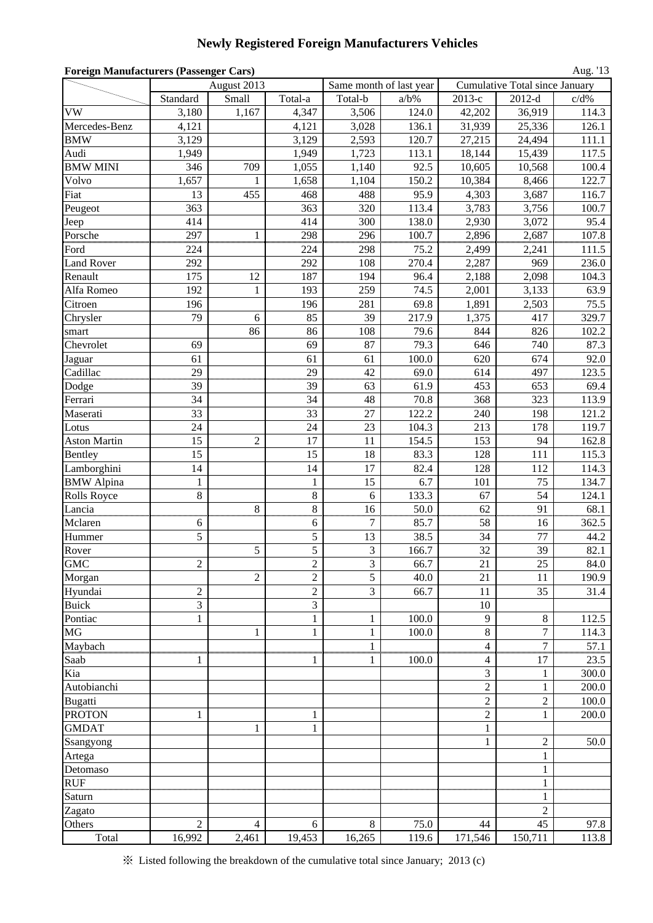# **Newly Registered Foreign Manufacturers Vehicles**

| <b>Foreign Manufacturers (Passenger Cars)</b><br>August 2013<br>Same month of last year<br>Cumulative Total since January |                |                |                  |              |         |                |                  |         |
|---------------------------------------------------------------------------------------------------------------------------|----------------|----------------|------------------|--------------|---------|----------------|------------------|---------|
|                                                                                                                           |                |                |                  |              |         |                |                  |         |
|                                                                                                                           | Standard       | Small          | Total-a          | Total-b      | $a/b\%$ | 2013-е         | $2012-d$         | $c/d\%$ |
| <b>VW</b>                                                                                                                 | 3,180          | 1,167          | 4,347            | 3,506        | 124.0   | 42,202         | 36,919           | 114.3   |
| Mercedes-Benz                                                                                                             | 4,121          |                | 4,121            | 3,028        | 136.1   | 31,939         | 25,336           | 126.1   |
| <b>BMW</b>                                                                                                                | 3,129          |                | 3,129            | 2,593        | 120.7   | 27,215         | 24,494           | 111.1   |
| Audi                                                                                                                      | 1,949          |                | 1,949            | 1,723        | 113.1   | 18,144         | 15,439           | 117.5   |
| <b>BMW MINI</b>                                                                                                           | 346            | 709            | 1,055            | 1,140        | 92.5    | 10,605         | 10,568           | 100.4   |
| Volvo                                                                                                                     | 1,657          | 1              | 1,658            | 1,104        | 150.2   | 10,384         | 8,466            | 122.7   |
| Fiat                                                                                                                      | 13             | 455            | 468              | 488          | 95.9    | 4,303          | 3,687            | 116.7   |
| Peugeot                                                                                                                   | 363            |                | 363              | 320          | 113.4   | 3,783          | 3,756            | 100.7   |
| Jeep                                                                                                                      | 414            |                | 414              | 300          | 138.0   | 2,930          | 3,072            | 95.4    |
| Porsche                                                                                                                   | 297            | 1              | 298              | 296          | 100.7   | 2,896          | 2,687            | 107.8   |
| Ford                                                                                                                      | 224            |                | 224              | 298          | 75.2    | 2,499          | 2,241            | 111.5   |
| <b>Land Rover</b>                                                                                                         | 292            |                | 292              | 108          | 270.4   | 2,287          | 969              | 236.0   |
| Renault                                                                                                                   | 175            | 12             | 187              | 194          | 96.4    | 2,188          | 2,098            | 104.3   |
| Alfa Romeo                                                                                                                | 192            | $\mathbf{1}$   | 193              | 259          | 74.5    | 2,001          | 3,133            | 63.9    |
| Citroen                                                                                                                   | 196            |                | 196              | 281          | 69.8    | 1,891          | 2,503            | 75.5    |
| Chrysler                                                                                                                  | 79             | 6              | 85               | 39           | 217.9   | 1,375          | 417              | 329.7   |
| smart                                                                                                                     |                | 86             | 86               | 108          | 79.6    | 844            | 826              | 102.2   |
| Chevrolet                                                                                                                 | 69             |                | 69               | 87           | 79.3    | 646            | 740              | 87.3    |
| Jaguar                                                                                                                    | 61             |                | 61               | 61           | 100.0   | 620            | 674              | 92.0    |
| Cadillac                                                                                                                  | 29             |                | 29               | 42           | 69.0    | 614            | 497              | 123.5   |
| Dodge                                                                                                                     | 39             |                | 39               | 63           | 61.9    | 453            | 653              | 69.4    |
| Ferrari                                                                                                                   | 34             |                | 34               | 48           | 70.8    | 368            | 323              | 113.9   |
| Maserati                                                                                                                  | 33             |                | 33               | 27           | 122.2   | 240            | 198              | 121.2   |
| Lotus                                                                                                                     | 24             |                | 24               | 23           | 104.3   | 213            | 178              | 119.7   |
| <b>Aston Martin</b>                                                                                                       | 15             | $\overline{2}$ | 17               | 11           | 154.5   | 153            | 94               | 162.8   |
| Bentley                                                                                                                   | 15             |                | 15               | 18           | 83.3    | 128            | 111              | 115.3   |
| Lamborghini                                                                                                               | 14             |                | 14               | 17           | 82.4    | 128            | 112              | 114.3   |
| <b>BMW</b> Alpina                                                                                                         | 1              |                | 1                | 15           | 6.7     | 101            | 75               | 134.7   |
| <b>Rolls Royce</b>                                                                                                        | 8              |                | $\,8\,$          | 6            | 133.3   | 67             | 54               | 124.1   |
| Lancia                                                                                                                    |                | 8              | 8                | 16           | 50.0    | 62             | 91               | 68.1    |
| Mclaren                                                                                                                   | 6              |                | 6                | 7            | 85.7    | 58             | 16               | 362.5   |
| Hummer                                                                                                                    | 5              |                | 5                | 13           | 38.5    | 34             | 77               | 44.2    |
| Rover                                                                                                                     |                | 5              | 5                | 3            | 166.7   | 32             | 39               | 82.1    |
| <b>GMC</b>                                                                                                                | $\overline{c}$ |                | $\boldsymbol{2}$ | 3            | 66.7    | 21             | 25               | 84.0    |
| Morgan                                                                                                                    |                | $\overline{c}$ | $\overline{c}$   | 5            | 40.0    | 21             | 11               | 190.9   |
| Hyundai                                                                                                                   | $\overline{c}$ |                | $\overline{c}$   | 3            | 66.7    | 11             | 35               | 31.4    |
| <b>Buick</b>                                                                                                              | 3              |                | 3                |              |         | 10             |                  |         |
| Pontiac                                                                                                                   | $\mathbf{1}$   |                | $\mathbf{1}$     | $\mathbf{1}$ | 100.0   | 9              | 8                | 112.5   |
| MG                                                                                                                        |                | 1              | $\mathbf{1}$     | $\mathbf{1}$ | 100.0   | $8\,$          | 7                | 114.3   |
| Maybach                                                                                                                   |                |                |                  | $\mathbf{1}$ |         | 4              | $\tau$           | 57.1    |
| Saab                                                                                                                      | 1              |                | 1                | 1            | 100.0   | 4              | 17               | 23.5    |
| Kia                                                                                                                       |                |                |                  |              |         | 3              | 1                | 300.0   |
| Autobianchi                                                                                                               |                |                |                  |              |         | $\mathfrak{2}$ | $\mathbf{1}$     | 200.0   |
| Bugatti                                                                                                                   |                |                |                  |              |         | $\overline{c}$ | $\overline{2}$   | 100.0   |
| <b>PROTON</b>                                                                                                             | $\mathbf{1}$   |                | 1                |              |         | $\overline{2}$ | $\mathbf{1}$     | 200.0   |
| <b>GMDAT</b>                                                                                                              |                | 1              | $\mathbf{1}$     |              |         | $\mathbf{1}$   |                  |         |
| Ssangyong                                                                                                                 |                |                |                  |              |         | 1              | $\overline{c}$   | 50.0    |
| Artega                                                                                                                    |                |                |                  |              |         |                | $\mathbf{1}$     |         |
| Detomaso                                                                                                                  |                |                |                  |              |         |                | $\mathbf{1}$     |         |
| <b>RUF</b>                                                                                                                |                |                |                  |              |         |                | $\mathbf{1}$<br> |         |
| Saturn                                                                                                                    |                |                |                  |              |         |                | 1                |         |
| Zagato                                                                                                                    |                |                |                  |              |         |                | 2                |         |
| Others                                                                                                                    | $\overline{2}$ | $\overline{4}$ | 6                | 8            | 75.0    | 44             | 45               | 97.8    |
| Total                                                                                                                     | 16,992         | 2,461          | 19,453           | 16,265       | 119.6   | 171,546        | 150,711          | 113.8   |

※ Listed following the breakdown of the cumulative total since January; 2013 (c)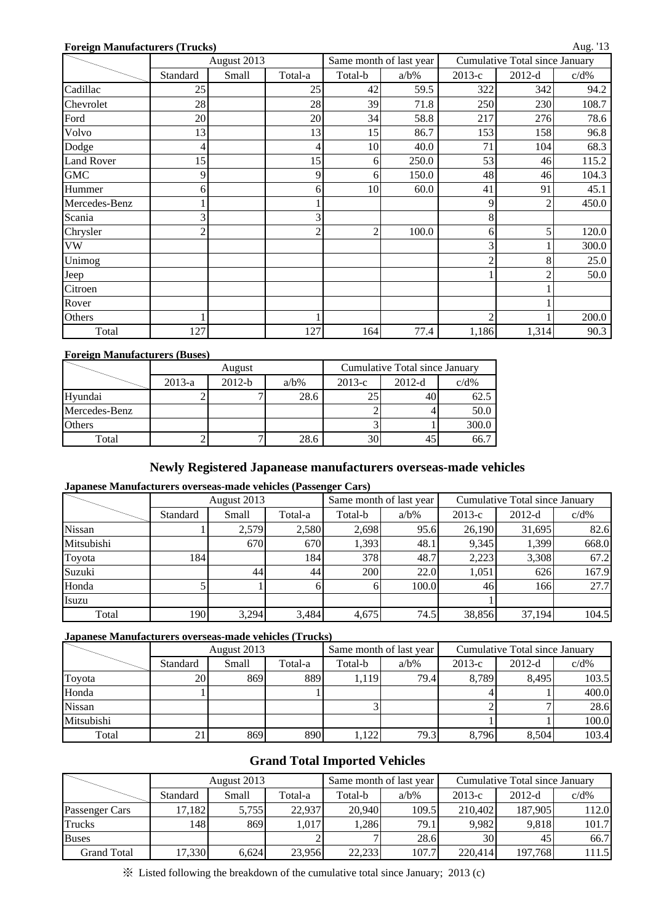#### **Foreign Manufacturers (Trucks)**

|  | ш |  |
|--|---|--|
|--|---|--|

|                   |          | August 2013 |                |                | Same month of last year |        | Cumulative Total since January |         |
|-------------------|----------|-------------|----------------|----------------|-------------------------|--------|--------------------------------|---------|
|                   | Standard | Small       | Total-a        | Total-b        | $a/b\%$                 | 2013-е | $2012-d$                       | $c/d\%$ |
| Cadillac          | 25       |             | 25             | 42             | 59.5                    | 322    | 342                            | 94.2    |
| Chevrolet         | 28       |             | 28             | 39             | 71.8                    | 250    | 230                            | 108.7   |
| Ford              | 20       |             | 20             | 34             | 58.8                    | 217    | 276                            | 78.6    |
| Volvo             | 13       |             | 13             | 15             | 86.7                    | 153    | 158                            | 96.8    |
| Dodge             |          |             | 4              | 10             | 40.0                    | 71     | 104                            | 68.3    |
| <b>Land Rover</b> | 15       |             | 15             | 6              | 250.0                   | 53     | 46                             | 115.2   |
| <b>GMC</b>        | 9        |             | 9              | 6              | 150.0                   | 48     | 46                             | 104.3   |
| Hummer            | 6        |             | 6              | 10             | 60.0                    | 41     | 91                             | 45.1    |
| Mercedes-Benz     |          |             |                |                |                         | 9      | 2                              | 450.0   |
| Scania            |          |             | 3              |                |                         | 8      |                                |         |
| Chrysler          |          |             | $\overline{2}$ | $\overline{c}$ | 100.0                   | 6      | 5                              | 120.0   |
| <b>VW</b>         |          |             |                |                |                         | 3      |                                | 300.0   |
| Unimog            |          |             |                |                |                         | 2      | 8                              | 25.0    |
| Jeep              |          |             |                |                |                         |        |                                | 50.0    |
| Citroen           |          |             |                |                |                         |        |                                |         |
| Rover             |          |             |                |                |                         |        |                                |         |
| Others            |          |             |                |                |                         | C      |                                | 200.0   |
| Total             | 127      |             | 127            | 164            | 77.4                    | 1,186  | 1,314                          | 90.3    |

#### **Foreign Manufacturers (Buses)**

|               |          | August   |         |                 | Cumulative Total since January |         |
|---------------|----------|----------|---------|-----------------|--------------------------------|---------|
|               | $2013-a$ | $2012-b$ | $a/b\%$ | $2013-c$        | $2012-d$                       | $c/d\%$ |
| Hyundai       |          |          | 28.6    |                 |                                | 62.5    |
| Mercedes-Benz |          |          |         |                 |                                | 50.0    |
| <b>Others</b> |          |          |         |                 |                                | 300.0   |
| Total         |          |          | 28.6    | 30 <sub>1</sub> |                                | 66.7    |

## **Newly Registered Japanease manufacturers overseas-made vehicles**

### **Japanese Manufacturers overseas-made vehicles (Passenger Cars)**

|            |          | August 2013 |         |              | Same month of last year | Cumulative Total since January |          |         |  |
|------------|----------|-------------|---------|--------------|-------------------------|--------------------------------|----------|---------|--|
|            | Standard | Small       | Total-a | Total-b      | $a/b\%$                 | $2013-c$                       | $2012-d$ | $c/d\%$ |  |
| Nissan     |          | 2,579       | 2,580   | 2,698        | 95.6                    | 26,190                         | 31,695   | 82.6    |  |
| Mitsubishi |          | 670         | 670     | 1,393        | 48.1                    | 9,345                          | 1,399    | 668.0   |  |
| Toyota     | 184      |             | 184     | 378          | 48.7                    | 2,223                          | 3,308    | 67.2    |  |
| Suzuki     |          | 44          | 44      | 200          | 22.0                    | 1,051                          | 626      | 167.9   |  |
| Honda      |          |             |         | <sub>6</sub> | 100.0                   | 46                             | 166      | 27.7    |  |
| Isuzu      |          |             |         |              |                         |                                |          |         |  |
| Total      | 190      | 3,294       | 3,484   | 4,675        | 74.5                    | 38,856                         | 37,194   | 104.5   |  |

#### **Japanese Manufacturers overseas-made vehicles (Trucks)**

|               |          | August 2013 |         |         | Same month of last year | Cumulative Total since January |          |         |  |
|---------------|----------|-------------|---------|---------|-------------------------|--------------------------------|----------|---------|--|
|               | Standard | Small       | Total-a | Total-b | $a/b\%$                 | $2013-c$                       | $2012-d$ | $c/d\%$ |  |
| Toyota        | 20       | 869         | 889     | 1.119   | 79.4                    | 8,789                          | 8,495    | 103.5   |  |
| Honda         |          |             |         |         |                         |                                |          | 400.0   |  |
| <b>Nissan</b> |          |             |         |         |                         |                                |          | 28.6    |  |
| Mitsubishi    |          |             |         |         |                         |                                |          | 100.0   |  |
| Total         |          | 869         | 890     | 1,122   | 79.3                    | 8,796                          | 8.504    | 103.4   |  |

## **Grand Total Imported Vehicles**

|                    |          | August 2013 |         |         | Same month of last year | Cumulative Total since January |          |         |  |
|--------------------|----------|-------------|---------|---------|-------------------------|--------------------------------|----------|---------|--|
|                    | Standard | Small       | Total-a | Total-b | $a/b\%$                 | $2013-c$                       | $2012-d$ | $c/d\%$ |  |
| Passenger Cars     | 17,182   | 5,755       | 22,937  | 20,940  | 109.5                   | 210,402                        | 187,905  | 112.0   |  |
| <b>Trucks</b>      | 148      | 869         | 1,017   | ,286    | 79.1                    | 9,982                          | 9,818    | 101.7   |  |
| <b>Buses</b>       |          |             |         |         | 28.6                    | 30 <sup>I</sup>                | 45       | 66.7    |  |
| <b>Grand Total</b> | 17,330   | 6.624       | 23,956  | 22,233  | 107.7                   | 220.414                        | 197.768  | 111.5   |  |

※ Listed following the breakdown of the cumulative total since January; 2013 (c)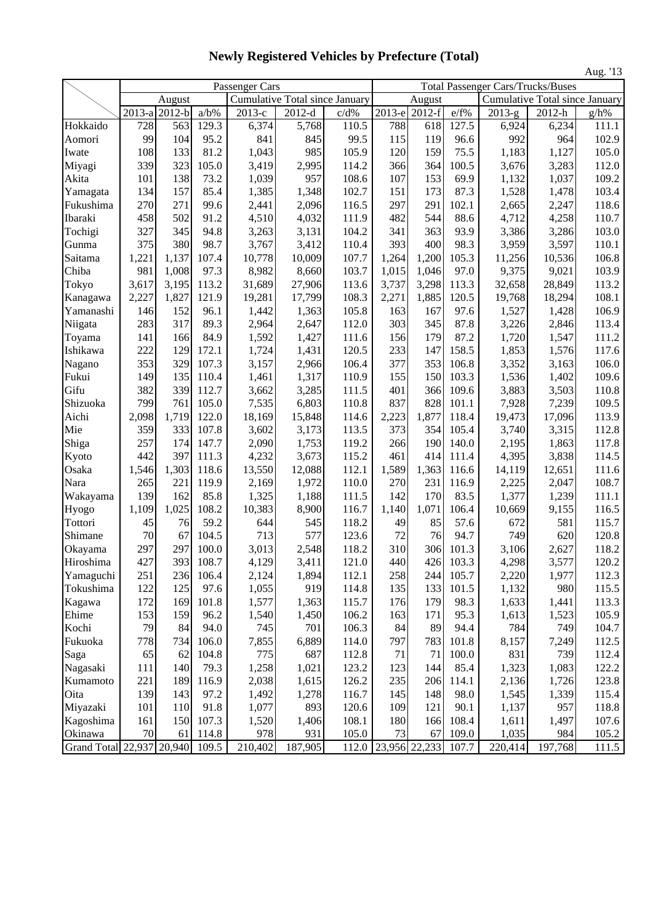|                           |          |                     |         |                |                                       |         |               |          |       |                                          |                                       | Aug. '13 |
|---------------------------|----------|---------------------|---------|----------------|---------------------------------------|---------|---------------|----------|-------|------------------------------------------|---------------------------------------|----------|
|                           |          |                     |         | Passenger Cars |                                       |         |               |          |       | <b>Total Passenger Cars/Trucks/Buses</b> |                                       |          |
|                           |          | August              |         |                | <b>Cumulative Total since January</b> |         |               | August   |       |                                          | <b>Cumulative Total since January</b> |          |
|                           | $2013-a$ | $\overline{2012-b}$ | $a/b\%$ | 2013-е         | $2012-d$                              | $c/d\%$ | 2013-e        | $2012-f$ | e/f%  | $2013-g$                                 | 2012-h                                | $g/h\%$  |
| Hokkaido                  | 728      | 563                 | 129.3   | 6,374          | 5,768                                 | 110.5   | 788           | 618      | 127.5 | 6,924                                    | 6,234                                 | 111.1    |
| Aomori                    | 99       | 104                 | 95.2    | 841            | 845                                   | 99.5    | 115           | 119      | 96.6  | 992                                      | 964                                   | 102.9    |
| Iwate                     | 108      | 133                 | 81.2    | 1,043          | 985                                   | 105.9   | 120           | 159      | 75.5  | 1,183                                    | 1,127                                 | 105.0    |
| Miyagi                    | 339      | 323                 | 105.0   | 3,419          | 2,995                                 | 114.2   | 366           | 364      | 100.5 | 3,676                                    | 3,283                                 | 112.0    |
| Akita                     | 101      | 138                 | 73.2    | 1,039          | 957                                   | 108.6   | 107           | 153      | 69.9  | 1,132                                    | 1,037                                 | 109.2    |
| Yamagata                  | 134      | 157                 | 85.4    | 1,385          | 1,348                                 | 102.7   | 151           | 173      | 87.3  | 1,528                                    | 1,478                                 | 103.4    |
| Fukushima                 | 270      | 271                 | 99.6    | 2,441          | 2,096                                 | 116.5   | 297           | 291      | 102.1 | 2,665                                    | 2,247                                 | 118.6    |
| Ibaraki                   | 458      | 502                 | 91.2    | 4,510          | 4,032                                 | 111.9   | 482           | 544      | 88.6  | 4,712                                    | 4,258                                 | 110.7    |
| Tochigi                   | 327      | 345                 | 94.8    | 3,263          | 3,131                                 | 104.2   | 341           | 363      | 93.9  | 3,386                                    | 3,286                                 | 103.0    |
| Gunma                     | 375      | 380                 | 98.7    | 3,767          | 3,412                                 | 110.4   | 393           | 400      | 98.3  | 3,959                                    | 3,597                                 | 110.1    |
| Saitama                   | 1,221    | 1,137               | 107.4   | 10,778         | 10,009                                | 107.7   | 1,264         | 1,200    | 105.3 | 11,256                                   | 10,536                                | 106.8    |
| Chiba                     | 981      | 1,008               | 97.3    | 8,982          | 8,660                                 | 103.7   | 1,015         | 1,046    | 97.0  | 9,375                                    | 9,021                                 | 103.9    |
| Tokyo                     | 3,617    | 3,195               | 113.2   | 31,689         | 27,906                                | 113.6   | 3,737         | 3,298    | 113.3 | 32,658                                   | 28,849                                | 113.2    |
| Kanagawa                  | 2,227    | 1,827               | 121.9   | 19,281         | 17,799                                | 108.3   | 2,271         | 1,885    | 120.5 | 19,768                                   | 18,294                                | 108.1    |
| Yamanashi                 | 146      | 152                 | 96.1    | 1,442          | 1,363                                 | 105.8   | 163           | 167      | 97.6  | 1,527                                    | 1,428                                 | 106.9    |
| Niigata                   | 283      | 317                 | 89.3    | 2,964          | 2,647                                 | 112.0   | 303           | 345      | 87.8  | 3,226                                    | 2,846                                 | 113.4    |
| Toyama                    | 141      | 166                 | 84.9    | 1,592          | 1,427                                 | 111.6   | 156           | 179      | 87.2  | 1,720                                    | 1,547                                 | 111.2    |
| Ishikawa                  | 222      | 129                 | 172.1   | 1,724          | 1,431                                 | 120.5   | 233           | 147      | 158.5 | 1,853                                    | 1,576                                 | 117.6    |
| Nagano                    | 353      | 329                 | 107.3   | 3,157          | 2,966                                 | 106.4   | 377           | 353      | 106.8 | 3,352                                    | 3,163                                 | 106.0    |
| Fukui                     | 149      | 135                 | 110.4   | 1,461          | 1,317                                 | 110.9   | 155           | 150      | 103.3 | 1,536                                    | 1,402                                 | 109.6    |
| Gifu                      | 382      | 339                 | 112.7   | 3,662          | 3,285                                 | 111.5   | 401           | 366      | 109.6 | 3,883                                    | 3,503                                 | 110.8    |
| Shizuoka                  | 799      | 761                 | 105.0   | 7,535          | 6,803                                 | 110.8   | 837           | 828      | 101.1 | 7,928                                    | 7,239                                 | 109.5    |
| Aichi                     | 2,098    | 1,719               | 122.0   | 18,169         | 15,848                                | 114.6   | 2,223         | 1,877    | 118.4 | 19,473                                   | 17,096                                | 113.9    |
| Mie                       | 359      | 333                 | 107.8   | 3,602          | 3,173                                 | 113.5   | 373           | 354      | 105.4 | 3,740                                    | 3,315                                 | 112.8    |
| Shiga                     | 257      | 174                 | 147.7   | 2,090          | 1,753                                 | 119.2   | 266           | 190      | 140.0 | 2,195                                    | 1,863                                 | 117.8    |
| Kyoto                     | 442      | 397                 | 111.3   | 4,232          | 3,673                                 | 115.2   | 461           | 414      | 111.4 | 4,395                                    | 3,838                                 | 114.5    |
| Osaka                     | 1,546    | 1,303               | 118.6   | 13,550         | 12,088                                | 112.1   | 1,589         | 1,363    | 116.6 | 14,119                                   | 12,651                                | 111.6    |
| Nara                      | 265      | 221                 | 119.9   | 2,169          | 1,972                                 | 110.0   | 270           | 231      | 116.9 | 2,225                                    | 2,047                                 | 108.7    |
| Wakayama                  | 139      | 162                 | 85.8    | 1,325          | 1,188                                 | 111.5   | 142           | 170      | 83.5  | 1,377                                    | 1,239                                 | 111.1    |
| Hyogo                     | 1,109    | 1,025               | 108.2   | 10,383         | 8,900                                 | 116.7   | 1,140         | 1,071    | 106.4 | 10,669                                   | 9,155                                 | 116.5    |
| Tottori                   | 45       | 76                  | 59.2    | 644            | 545                                   | 118.2   | 49            | 85       | 57.6  | 672                                      | 581                                   | 115.7    |
| Shimane                   | 70       | 67                  | 104.5   | 713            | 577                                   | 123.6   | 72            | 76       | 94.7  | 749                                      | 620                                   | 120.8    |
| Okayama                   | 297      | 297                 | 100.0   | 3,013          | 2,548                                 | 118.2   | 310           | 306      | 101.3 | 3,106                                    | 2,627                                 | 118.2    |
| Hiroshima                 | 427      | 393                 | 108.7   | 4,129          | 3,411                                 | 121.0   | 440           | 426      | 103.3 | 4,298                                    | 3,577                                 | 120.2    |
| Yamaguchi                 | 251      | 236                 | 106.4   | 2,124          | 1,894                                 | 112.1   | 258           | 244      | 105.7 | 2,220                                    | 1,977                                 | 112.3    |
| Tokushima                 | 122      | 125                 | 97.6    | 1,055          | 919                                   | 114.8   | 135           | 133      | 101.5 | 1,132                                    | 980                                   | 115.5    |
| Kagawa                    | 172      | 169                 | 101.8   | 1,577          | 1,363                                 | 115.7   | 176           | 179      | 98.3  | 1,633                                    | 1,441                                 | 113.3    |
| Ehime                     | 153      | 159                 | 96.2    | 1,540          | 1,450                                 | 106.2   | 163           | 171      | 95.3  | 1,613                                    | 1,523                                 | 105.9    |
| Kochi                     | 79       | 84                  | 94.0    | 745            | 701                                   | 106.3   | 84            | 89       | 94.4  | 784                                      | 749                                   | 104.7    |
| Fukuoka                   | 778      | 734                 | 106.0   | 7,855          | 6,889                                 | 114.0   | 797           | 783      | 101.8 | 8,157                                    | 7,249                                 | 112.5    |
| Saga                      | 65       | 62                  | 104.8   | 775            | 687                                   | 112.8   | 71            | 71       | 100.0 | 831                                      | 739                                   | 112.4    |
| Nagasaki                  | 111      | 140                 | 79.3    | 1,258          | 1,021                                 | 123.2   | 123           | 144      | 85.4  | 1,323                                    | 1,083                                 | 122.2    |
| Kumamoto                  | 221      | 189                 | 116.9   | 2,038          | 1,615                                 | 126.2   | 235           | 206      | 114.1 | 2,136                                    | 1,726                                 | 123.8    |
| Oita                      | 139      | 143                 | 97.2    | 1,492          | 1,278                                 | 116.7   | 145           | 148      | 98.0  | 1,545                                    | 1,339                                 | 115.4    |
| Miyazaki                  | 101      | 110                 | 91.8    | 1,077          | 893                                   | 120.6   | 109           | 121      | 90.1  | 1,137                                    | 957                                   | 118.8    |
| Kagoshima                 | 161      | 150                 | 107.3   | 1,520          | 1,406                                 | 108.1   | 180           | 166      | 108.4 | 1,611                                    | 1,497                                 | 107.6    |
| Okinawa                   | 70       | 61                  | 114.8   | 978            | 931                                   | 105.0   | 73            | 67       | 109.0 | 1,035                                    | 984                                   | 105.2    |
| Grand Total 22,937 20,940 |          |                     | 109.5   | 210,402        | 187,905                               | 112.0   | 23,956 22,233 |          | 107.7 | 220,414                                  | 197,768                               | 111.5    |

**Newly Registered Vehicles by Prefecture (Total)**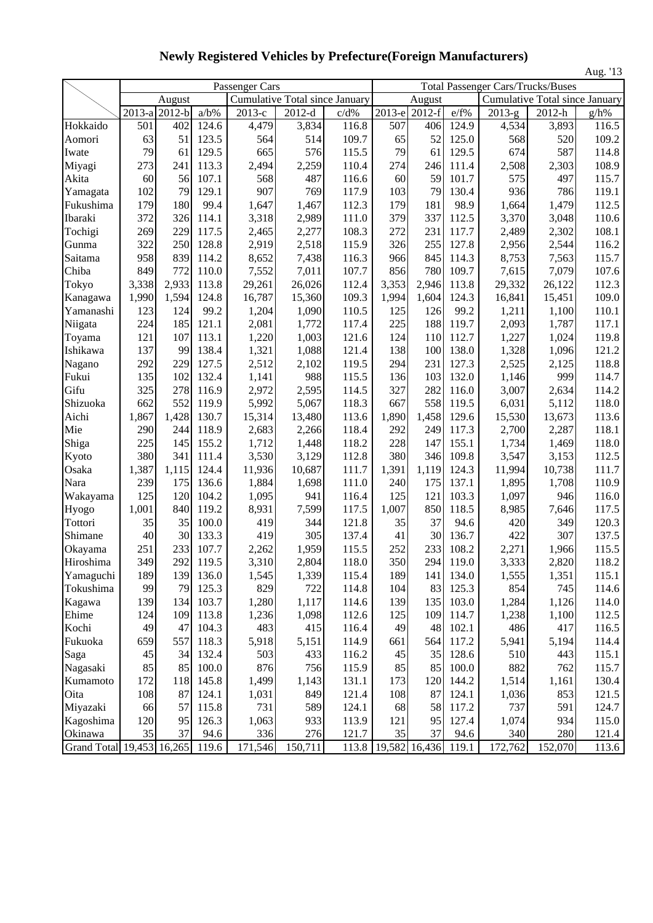|                           |                      |                     |         |                      |                                |       |        |               |       |                                          |                                | Aug. '13 |
|---------------------------|----------------------|---------------------|---------|----------------------|--------------------------------|-------|--------|---------------|-------|------------------------------------------|--------------------------------|----------|
|                           |                      |                     |         | Passenger Cars       |                                |       |        |               |       | <b>Total Passenger Cars/Trucks/Buses</b> |                                |          |
|                           |                      | August              |         |                      | Cumulative Total since January |       |        | August        |       |                                          | Cumulative Total since January |          |
|                           | $\overline{2013}$ -a | $\overline{2}012-b$ | $a/b\%$ | $\overline{2013}$ -c | $2012-d$                       | c/d%  | 2013-е | $2012-f$      | e/f%  | $\overline{2013}$ -g                     | 2012-h                         | g/h%     |
| Hokkaido                  | 501                  | 402                 | 124.6   | 4,479                | 3,834                          | 116.8 | 507    | 406           | 124.9 | 4,534                                    | 3,893                          | 116.5    |
| Aomori                    | 63                   | 51                  | 123.5   | 564                  | 514                            | 109.7 | 65     | 52            | 125.0 | 568                                      | 520                            | 109.2    |
| Iwate                     | 79                   | 61                  | 129.5   | 665                  | 576                            | 115.5 | 79     | 61            | 129.5 | 674                                      | 587                            | 114.8    |
| Miyagi                    | 273                  | 241                 | 113.3   | 2,494                | 2,259                          | 110.4 | 274    | 246           | 111.4 | 2,508                                    | 2,303                          | 108.9    |
| Akita                     | 60                   | 56                  | 107.1   | 568                  | 487                            | 116.6 | 60     | 59            | 101.7 | 575                                      | 497                            | 115.7    |
| Yamagata                  | 102                  | 79                  | 129.1   | 907                  | 769                            | 117.9 | 103    | 79            | 130.4 | 936                                      | 786                            | 119.1    |
| Fukushima                 | 179                  | 180                 | 99.4    | 1,647                | 1,467                          | 112.3 | 179    | 181           | 98.9  | 1,664                                    | 1,479                          | 112.5    |
| Ibaraki                   | 372                  | 326                 | 114.1   | 3,318                | 2,989                          | 111.0 | 379    | 337           | 112.5 | 3,370                                    | 3,048                          | 110.6    |
| Tochigi                   | 269                  | 229                 | 117.5   | 2,465                | 2,277                          | 108.3 | 272    | 231           | 117.7 | 2,489                                    | 2,302                          | 108.1    |
| Gunma                     | 322                  | 250                 | 128.8   | 2,919                | 2,518                          | 115.9 | 326    | 255           | 127.8 | 2,956                                    | 2,544                          | 116.2    |
| Saitama                   | 958                  | 839                 | 114.2   | 8,652                | 7,438                          | 116.3 | 966    | 845           | 114.3 | 8,753                                    | 7,563                          | 115.7    |
| Chiba                     | 849                  | 772                 | 110.0   | 7,552                | 7,011                          | 107.7 | 856    | 780           | 109.7 | 7,615                                    | 7,079                          | 107.6    |
| Tokyo                     | 3,338                | 2,933               | 113.8   | 29,261               | 26,026                         | 112.4 | 3,353  | 2,946         | 113.8 | 29,332                                   | 26,122                         | 112.3    |
| Kanagawa                  | 1,990                | 1,594               | 124.8   | 16,787               | 15,360                         | 109.3 | 1,994  | 1,604         | 124.3 | 16,841                                   | 15,451                         | 109.0    |
| Yamanashi                 | 123                  | 124                 | 99.2    | 1,204                | 1,090                          | 110.5 | 125    | 126           | 99.2  | 1,211                                    | 1,100                          | 110.1    |
| Niigata                   | 224                  | 185                 | 121.1   | 2,081                | 1,772                          | 117.4 | 225    | 188           | 119.7 | 2,093                                    | 1,787                          | 117.1    |
| Toyama                    | 121                  | 107                 | 113.1   | 1,220                | 1,003                          | 121.6 | 124    | 110           | 112.7 | 1,227                                    | 1,024                          | 119.8    |
| Ishikawa                  | 137                  | 99                  | 138.4   | 1,321                | 1,088                          | 121.4 | 138    | 100           | 138.0 | 1,328                                    | 1,096                          | 121.2    |
| Nagano                    | 292                  | 229                 | 127.5   | 2,512                | 2,102                          | 119.5 | 294    | 231           | 127.3 | 2,525                                    | 2,125                          | 118.8    |
| Fukui                     | 135                  | 102                 | 132.4   | 1,141                | 988                            | 115.5 | 136    | 103           | 132.0 | 1,146                                    | 999                            | 114.7    |
| Gifu                      | 325                  | 278                 | 116.9   | 2,972                | 2,595                          | 114.5 | 327    | 282           | 116.0 | 3,007                                    | 2,634                          | 114.2    |
| Shizuoka                  | 662                  | 552                 | 119.9   | 5,992                | 5,067                          | 118.3 | 667    | 558           | 119.5 | 6,031                                    | 5,112                          | 118.0    |
| Aichi                     | 1,867                | 1,428               | 130.7   | 15,314               | 13,480                         | 113.6 | 1,890  | 1,458         | 129.6 | 15,530                                   | 13,673                         | 113.6    |
| Mie                       | 290                  | 244                 | 118.9   | 2,683                | 2,266                          | 118.4 | 292    | 249           | 117.3 | 2,700                                    | 2,287                          | 118.1    |
| Shiga                     | 225                  | 145                 | 155.2   | 1,712                | 1,448                          | 118.2 | 228    | 147           | 155.1 | 1,734                                    | 1,469                          | 118.0    |
| Kyoto                     | 380                  | 341                 | 111.4   | 3,530                | 3,129                          | 112.8 | 380    | 346           | 109.8 | 3,547                                    | 3,153                          | 112.5    |
| Osaka                     | 1,387                | 1,115               | 124.4   | 11,936               | 10,687                         | 111.7 | 1,391  | 1,119         | 124.3 | 11,994                                   | 10,738                         | 111.7    |
| Nara                      | 239                  | 175                 | 136.6   | 1,884                | 1,698                          | 111.0 | 240    | 175           | 137.1 | 1,895                                    | 1,708                          | 110.9    |
| Wakayama                  | 125                  | 120                 | 104.2   | 1,095                | 941                            | 116.4 | 125    | 121           | 103.3 | 1,097                                    | 946                            | 116.0    |
| Hyogo                     | 1,001                | 840                 | 119.2   | 8,931                | 7,599                          | 117.5 | 1,007  | 850           | 118.5 | 8,985                                    | 7,646                          | 117.5    |
| Tottori                   | 35                   | 35                  | 100.0   | 419                  | 344                            | 121.8 | 35     | 37            | 94.6  | 420                                      | 349                            | 120.3    |
| Shimane                   | 40                   | 30                  | 133.3   | 419                  | 305                            | 137.4 | 41     | 30            | 136.7 | 422                                      | 307                            | 137.5    |
| Okayama                   | 251                  | 233                 | 107.7   | 2,262                | 1,959                          | 115.5 | 252    | 233           | 108.2 | 2,271                                    | 1,966                          | 115.5    |
| Hiroshima                 | 349                  | 292                 | 119.5   | 3,310                | 2,804                          | 118.0 | 350    | 294           | 119.0 | 3,333                                    | 2,820                          | 118.2    |
| Yamaguchi                 | 189                  | 139                 | 136.0   | 1,545                | 1,339                          | 115.4 | 189    | 141           | 134.0 | 1,555                                    | 1,351                          | 115.1    |
| Tokushima                 | 99                   | 79                  | 125.3   | 829                  | 722                            | 114.8 | 104    | 83            | 125.3 | 854                                      | 745                            | 114.6    |
| Kagawa                    | 139                  | 134                 | 103.7   | 1,280                | 1,117                          | 114.6 | 139    | 135           | 103.0 | 1,284                                    | 1,126                          | 114.0    |
| Ehime                     | 124                  | 109                 | 113.8   | 1,236                | 1,098                          | 112.6 | 125    | 109           | 114.7 | 1,238                                    | 1,100                          | 112.5    |
| Kochi                     | 49                   | 47                  | 104.3   | 483                  | 415                            | 116.4 | 49     | 48            | 102.1 | 486                                      | 417                            | 116.5    |
| Fukuoka                   | 659                  | 557                 | 118.3   | 5,918                | 5,151                          | 114.9 | 661    | 564           | 117.2 | 5,941                                    | 5,194                          | 114.4    |
| Saga                      | 45                   | 34                  | 132.4   | 503                  | 433                            | 116.2 | 45     | 35            | 128.6 | 510                                      | 443                            | 115.1    |
| Nagasaki                  | 85                   | 85                  | 100.0   | 876                  | 756                            | 115.9 | 85     | 85            | 100.0 | 882                                      | 762                            | 115.7    |
| Kumamoto                  | 172                  | 118                 | 145.8   | 1,499                | 1,143                          | 131.1 | 173    | 120           | 144.2 | 1,514                                    | 1,161                          | 130.4    |
| Oita                      | 108                  | 87                  | 124.1   | 1,031                | 849                            | 121.4 | 108    | 87            | 124.1 | 1,036                                    | 853                            | 121.5    |
| Miyazaki                  | 66                   | 57                  | 115.8   | 731                  | 589                            | 124.1 | 68     | 58            | 117.2 | 737                                      | 591                            | 124.7    |
| Kagoshima                 | 120                  | 95                  | 126.3   | 1,063                | 933                            | 113.9 | 121    | 95            | 127.4 | 1,074                                    | 934                            | 115.0    |
| Okinawa                   | 35                   | 37                  | 94.6    | 336                  | 276                            | 121.7 | 35     | 37            | 94.6  | 340                                      | 280                            | 121.4    |
| Grand Total 19,453 16,265 |                      |                     | 119.6   | 171,546              | 150,711                        | 113.8 |        | 19,582 16,436 | 119.1 | $\overline{172,762}$                     | 152,070                        | 113.6    |

**Newly Registered Vehicles by Prefecture(Foreign Manufacturers)**